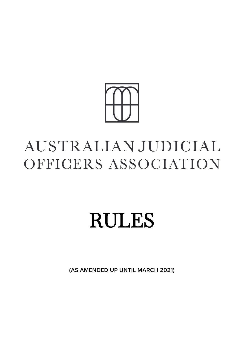

## AUSTRALIAN JUDICIAL OFFICERS ASSOCIATION

# RULES

**(AS AMENDED UP UNTIL MARCH 2021)**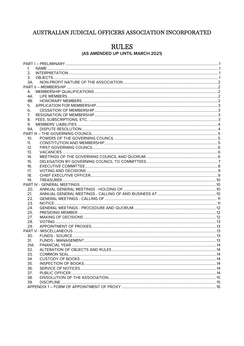#### AUSTRALIAN JUDICIAL OFFICERS ASSOCIATION INCORPORATED

### **RULES**

#### (AS AMENDED UP UNTIL MARCH 2021)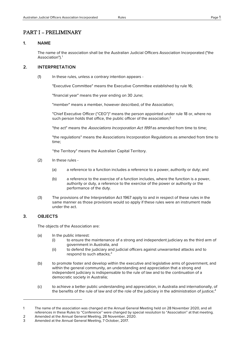#### <span id="page-2-0"></span>PART I – PRELIMINARY

#### <span id="page-2-1"></span>**1. NAME**

The name of the association shall be the Australian Judicial Officers Association Incorporated ("the Association").<sup>[1](#page-2-4)</sup>

#### <span id="page-2-2"></span>**2. INTERPRETATION**

(1) In these rules, unless a contrary intention appears -

"Executive Committee" means the Executive Committee established by rule 16;

"financial year" means the year ending on 30 June;

"member" means a member, however described, of the Association;

"Chief Executive Officer ("CEO")" means the person appointed under rule 18 or, where no such person holds that office, the public officer of the association;<sup>[2](#page-2-5)</sup>

"the act" means the Associations Incorporation Act 1991 as amended from time to time;

"the regulations" means the Associations Incorporation Regulations as amended from time to time;

"the Territory" means the Australian Capital Territory.

- (2) In these rules
	- (a) a reference to a function includes a reference to a power, authority or duty; and
	- (b) a reference to the exercise of a function includes, where the function is a power, authority or duty, a reference to the exercise of the power or authority or the performance of the duty.
- (3) The provisions of the Interpretation Act 1967 apply to and in respect of these rules in the same manner as those provisions would so apply if these rules were an instrument made under the act.

#### <span id="page-2-3"></span>**3. OBJECTS**

The objects of the Association are:

- (a) In the public interest:
	- (i) to ensure the maintenance of a strong and independent judiciary as the third arm of government in Australia, and
	- (ii) to defend the judiciary and judicial officers against unwarranted attacks and to respond to such attacks;<sup>[3](#page-2-6)</sup>
- (b) to promote foster and develop within the executive and legislative arms of government, and within the general community, an understanding and appreciation that a strong and independent judiciary is indispensable to the rule of law and to the continuation of a democratic society in Australia;
- (c) to achieve a better public understanding and appreciation, in Australia and internationally, of the benefits of the rule of law and of the role of the judiciary in the administration of justice;<sup>[4](#page-2-7)</sup>

<span id="page-2-7"></span><span id="page-2-4"></span><sup>1</sup> The name of the association was changed at the Annual General Meeting held on 28 November 2020, and all references in these Rules to "Conference" were changed by special resolution to "Association" at that meeting.

<span id="page-2-6"></span><span id="page-2-5"></span><sup>2</sup> Amended at the Annual General Meeting, 28 November, 2020.<br>3 Amended at the Annual General Meeting. 7 October. 2017. Amended at the Annual General Meeting, 7 October, 2017.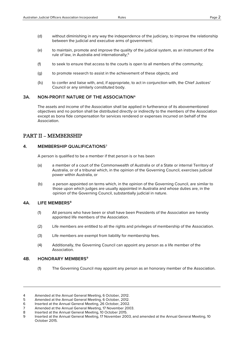- (d) without diminishing in any way the independence of the judiciary, to improve the relationship between the judicial and executive arms of government;
- (e) to maintain, promote and improve the quality of the judicial system, as an instrument of the rule of law, in Australia and internationally;<sup>[5](#page-3-5)</sup>
- (f) to seek to ensure that access to the courts is open to all members of the community;
- (g) to promote research to assist in the achievement of these objects; and
- (h) to confer and liaise with, and, if appropriate, to act in conjunction with, the Chief Justices' Council or any similarly constituted body.

#### <span id="page-3-0"></span>**3A. NON-PROFIT NATURE OF THE ASSOCIATION[6](#page-3-6)**

The assets and income of the Association shall be applied in furtherance of its abovementioned objectives and no portion shall be distributed directly or indirectly to the members of the Association except as bona fide compensation for services rendered or expenses incurred on behalf of the Association.

#### <span id="page-3-1"></span>PART II – MEMBERSHIP

#### <span id="page-3-2"></span>**4. MEMBERSHIP QUALIFICATIONS[7](#page-3-7)**

A person is qualified to be a member if that person is or has been

- (a) a member of a court of the Commonwealth of Australia or of a State or internal Territory of Australia, or of a tribunal which, in the opinion of the Governing Council, exercises judicial power within Australia, or
- (b) a person appointed on terms which, in the opinion of the Governing Council, are similar to those upon which judges are usually appointed in Australia and whose duties are, in the opinion of the Governing Council, substantially judicial in nature.

#### <span id="page-3-3"></span>**4A. LIFE MEMBERS[8](#page-3-8)**

- (1) All persons who have been or shall have been Presidents of the Association are hereby appointed life members of the Association.
- (2) Life members are entitled to all the rights and privileges of membership of the Association.
- (3) Life members are exempt from liability for membership fees.
- (4) Additionally, the Governing Council can appoint any person as a life member of the Association.

#### <span id="page-3-4"></span>**4B. HONORARY MEMBERS[9](#page-3-9)**

(1) The Governing Council may appoint any person as an honorary member of the Association.

<sup>4</sup> Amended at the Annual General Meeting, 6 October, 2012.

<span id="page-3-5"></span><sup>5</sup> Amended at the Annual General Meeting, 6 October, 2012.

<span id="page-3-6"></span><sup>6</sup> Inserted at the Annual General Meeting, 26 October, 2002.

<span id="page-3-7"></span>Amended at the Annual General Meeting, 17 November 2003.

<span id="page-3-9"></span><span id="page-3-8"></span><sup>8</sup> Inserted at the Annual General Meeting, 10 October 2015.

<sup>9</sup> Inserted at the Annual General Meeting, 17 November 2003, and amended at the Annual General Meeting, 10 October 2015.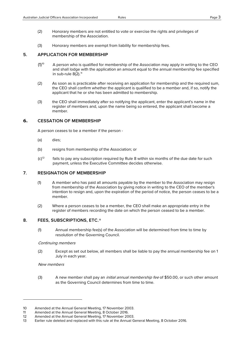- (2) Honorary members are not entitled to vote or exercise the rights and privileges of membership of the Association.
- (3) Honorary members are exempt from liability for membership fees.

#### <span id="page-4-0"></span>**5. APPLICATION FOR MEMBERSHIP**

- $(1)^{10}$  $(1)^{10}$  $(1)^{10}$  A person who is qualified for membership of the Association may apply in writing to the CEO and shall lodge with the application an amount equal to the annual membership fee specified in sub-rule  $8(2).$ <sup>[11](#page-4-5)</sup>
- (2) As soon as is practicable after receiving an application for membership and the required sum, the CEO shall confirm whether the applicant is qualified to be a member and, if so, notify the applicant that he or she has been admitted to membership.
- (3) the CEO shall immediately after so notifying the applicant, enter the applicant's name in the register of members and, upon the name being so entered, the applicant shall become a member.

#### <span id="page-4-1"></span>**6. CESSATION OF MEMBERSHIP**

A person ceases to be a member if the person -

- (a) dies;
- (b) resigns from membership of the Association; or
- $(c)^{12}$  $(c)^{12}$  $(c)^{12}$  fails to pay any subscription required by Rule 8 within six months of the due date for such payment, unless the Executive Committee decides otherwise.

#### <span id="page-4-2"></span>**7. RESIGNATION OF MEMBERSHIP**

- (1) A member who has paid all amounts payable by the member to the Association may resign from membership of the Association by giving notice in writing to the CEO of the member's intention to resign and, upon the expiration of the period of notice, the person ceases to be a member.
- (2) Where a person ceases to be a member, the CEO shall make an appropriate entry in the register of members recording the date on which the person ceased to be a member.

#### <span id="page-4-3"></span>**8. FEES, SUBSCRIPTIONS, ETC.[13](#page-4-7)**

(1) Annual membership fee(s) of the Association will be determined from time to time by resolution of the Governing Council.

#### Continuing members

(2) Except as set out below, all members shall be liable to pay the annual membership fee on 1 July in each year.

#### New members

(3) A new member shall pay an *initial annual membership fee* of \$50.00, or such other amount as the Governing Council determines from time to time.

<span id="page-4-4"></span><sup>10</sup> Amended at the Annual General Meeting, 17 November 2003.

<span id="page-4-5"></span><sup>11</sup> Amended at the Annual General Meeting, 8 October 2016.<br>12 Amended at the Annual General Meeting. 17 November 20

<span id="page-4-7"></span><span id="page-4-6"></span><sup>12</sup> Amended at the Annual General Meeting, 17 November 2003.<br>13 Earlier rule deleted and replaced with this rule at the Annual G

Earlier rule deleted and replaced with this rule at the Annual General Meeting, 8 October 2016.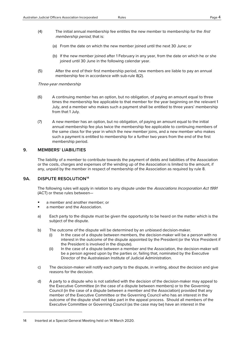- (4) The initial annual membership fee entitles the new member to membership for the  $first$ membership period, that is:
	- (a) From the date on which the new member joined until the next 30 June; or
	- (b) If the new member joined after 1 February in any year, from the date on which he or she joined until 30 June in the following calendar year.
- (5) After the end of their first membership period, new members are liable to pay an annual membership fee in accordance with sub-rule 8(2).

#### Three-year membership

- (6) A continuing member has an option, but no obligation, of paying an amount equal to three times the membership fee applicable to that member for the year beginning on the relevant 1 July, and a member who makes such a payment shall be entitled to three years' membership from that 1 July.
- (7) A new member has an option, but no obligation, of paying an amount equal to the initial annual membership fee plus twice the membership fee applicable to continuing members of the same class for the year in which the new member joins, and a new member who makes such a payment is entitled to membership for a further two years from the end of the first membership period.

#### <span id="page-5-0"></span>**9. MEMBERS' LIABILITIES**

The liability of a member to contribute towards the payment of debts and liabilities of the Association or the costs, charges and expenses of the winding up of the Association is limited to the amount, if any, unpaid by the member in respect of membership of the Association as required by rule 8.

#### <span id="page-5-1"></span>**9A. DISPUTE RESOLUTION[14](#page-5-2)**

The following rules will apply in relation to any dispute under the Associations Incorporation Act 1991 (ACT) or these rules between—

- a member and another member; or
- a member and the Association.
- a) Each party to the dispute must be given the opportunity to be heard on the matter which is the subject of the dispute.
- b) The outcome of the dispute will be determined by an unbiased decision-maker.
	- (i) In the case of a dispute between members, the decision-maker will be a person with no interest in the outcome of the dispute appointed by the President (or the Vice President if the President is involved in the dispute).
	- (ii) In the case of a dispute between a member and the Association, the decision-maker will be a person agreed upon by the parties or, failing that, nominated by the Executive Director of the Australasian Institute of Judicial Administration.
- c) The decision-maker will notify each party to the dispute, in writing, about the decision and give reasons for the decision.
- d) A party to a dispute who is not satisfied with the decision of the decision-maker may appeal to the Executive Committee (in the case of a dispute between members) or to the Governing Council (in the case of a dispute between a member and the Association) provided that any member of the Executive Committee or the Governing Council who has an interest in the outcome of the dispute shall not take part in the appeal process. Should all members of the Executive Committee or Governing Council (as the case may be) have an interest in the

<span id="page-5-2"></span><sup>14</sup> Inserted at a Special General Meeting held on 14 March 2020.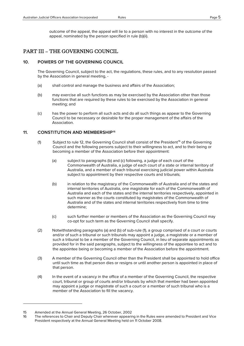outcome of the appeal, the appeal will lie to a person with no interest in the outcome of the appeal, nominated by the person specified in rule (b)(ii).

#### <span id="page-6-0"></span>PART III – THE GOVERNING COUNCIL

#### <span id="page-6-1"></span>**10. POWERS OF THE GOVERNING COUNCIL**

The Governing Council, subject to the act, the regulations, these rules, and to any resolution passed by the Association in general meeting, -

- (a) shall control and manage the business and affairs of the Association;
- (b) may exercise all such functions as may be exercised by the Association other than those functions that are required by these rules to be exercised by the Association in general meeting; and
- (c) has the power to perform all such acts and do all such things as appear to the Governing Council to be necessary or desirable for the proper management of the affairs of the Association.

#### <span id="page-6-2"></span>**11. CONSTITUTION AND MEMBERSHIP[15](#page-6-3)**

- (1) Subject to rule 12, the Governing Council shall consist of the President<sup>[16](#page-6-4)</sup> of the Governing Council and the following persons subject to their willingness to act, and to their being or becoming a member of the Association before their appointment:
	- (a) subject to paragraphs (b) and (c) following, a judge of each court of the Commonwealth of Australia, a judge of each court of a state or internal territory of Australia, and a member of each tribunal exercising judicial power within Australia subject to appointment by their respective courts and tribunals;
	- (b) in relation to the magistracy of the Commonwealth of Australia and of the states and internal territories of Australia, one magistrate for each of the Commonwealth of Australia and each of the states and the internal territories respectively, appointed in such manner as the courts constituted by magistrates of the Commonwealth of Australia and of the states and internal territories respectively from time to time determine;
	- (c) such further member or members of the Association as the Governing Council may co-opt for such term as the Governing Council shall specify.
- (2) Notwithstanding paragraphs (a) and (b) of sub-rule (1), a group comprised of a court or courts and/or of such a tribunal or such tribunals may appoint a judge, a magistrate or a member of such a tribunal to be a member of the Governing Council, in lieu of separate appointments as provided for in the said paragraphs, subject to the willingness of the appointee to act and to the appointee being or becoming a member of the Association before the appointment.
- (3) A member of the Governing Council other than the President shall be appointed to hold office until such time as that person dies or resigns or until another person is appointed in place of that person.
- (4) In the event of a vacancy in the office of a member of the Governing Council, the respective court, tribunal or group of courts and/or tribunals by which that member had been appointed may appoint a judge or magistrate of such a court or a member of such tribunal who is a member of the Association to fill the vacancy.

<span id="page-6-4"></span><span id="page-6-3"></span><sup>15</sup> Amended at the Annual General Meeting, 26 October, 2002

<sup>16</sup> The references to Chair and Deputy Chair wherever appearing in the Rules were amended to President and Vice President respectively at the Annual General Meeting held on 11 October 2008.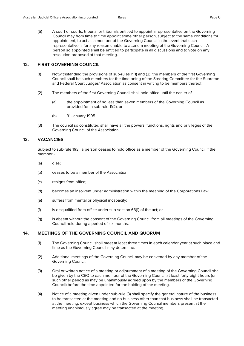(5) A court or courts, tribunal or tribunals entitled to appoint a representative on the Governing Council may from time to time appoint some other person, subject to the same conditions for appointment, to act as a member of the Governing Council in the event that such representative is for any reason unable to attend a meeting of the Governing Council. A person so appointed shall be entitled to participate in all discussions and to vote on any resolution proposed at that meeting.

#### <span id="page-7-0"></span>**12. FIRST GOVERNING COUNCIL**

- (1) Notwithstanding the provisions of sub-rules 11(1) and (2), the members of the first Governing Council shall be such members for the time being of the Steering Committee for the Supreme and Federal Court Judges' Association as consent in writing to be members thereof.
- (2) The members of the first Governing Council shall hold office until the earlier of
	- (a) the appointment of no less than seven members of the Governing Council as provided for in sub-rule 11(2); or
	- (b) 31 January 1995.
- (3) The council so constituted shall have all the powers, functions, rights and privileges of the Governing Council of the Association.

#### <span id="page-7-1"></span>**13. VACANCIES**

Subject to sub-rule 11(3), a person ceases to hold office as a member of the Governing Council if the member -

- (a) dies;
- (b) ceases to be a member of the Association;
- (c) resigns from office;
- (d) becomes an insolvent under administration within the meaning of the Corporations Law;
- (e) suffers from mental or physical incapacity;
- (f) is disqualified from office under sub-section 63(1) of the act; or
- (g) is absent without the consent of the Governing Council from all meetings of the Governing Council held during a period of six months.

#### <span id="page-7-2"></span>**14. MEETINGS OF THE GOVERNING COUNCIL AND QUORUM**

- (1) The Governing Council shall meet at least three times in each calendar year at such place and time as the Governing Council may determine.
- (2) Additional meetings of the Governing Council may be convened by any member of the Governing Council.
- (3) Oral or written notice of a meeting or adjournment of a meeting of the Governing Council shall be given by the CEO to each member of the Governing Council at least forty-eight hours (or such other period as may be unanimously agreed upon by the members of the Governing Council) before the time appointed for the holding of the meeting.
- (4) Notice of a meeting given under sub-rule (3) shall specify the general nature of the business to be transacted at the meeting and no business other than that business shall be transacted at the meeting, except business which the Governing Council members present at the meeting unanimously agree may be transacted at the meeting.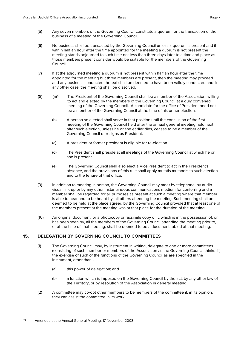- (5) Any seven members of the Governing Council constitute a quorum for the transaction of the business of a meeting of the Governing Council.
- (6) No business shall be transacted by the Governing Council unless a quorum is present and if within half an hour after the time appointed for the meeting a quorum is not present the meeting stands adjourned to such time not less than three days later to a time and place as those members present consider would be suitable for the members of the Governing Council.
- (7) If at the adjourned meeting a quorum is not present within half an hour after the time appointed for the meeting but three members are present, then the meeting may proceed and any business conducted thereat shall be deemed to have been validly conducted and, in any other case, the meeting shall be dissolved.
- (8)  $(a)^{17}$  $(a)^{17}$  $(a)^{17}$  The President of the Governing Council shall be a member of the Association, willing to act and elected by the members of the Governing Council at a duly convened meeting of the Governing Council. A candidate for the office of President need not be a member of the Governing Council at the time of his or her election.
	- (b) A person so elected shall serve in that position until the conclusion of the first meeting of the Governing Council held after the annual general meeting held next after such election, unless he or she earlier dies, ceases to be a member of the Governing Council or resigns as President.
	- (c) A president or former president is eligible for re-election.
	- (d) The President shall preside at all meetings of the Governing Council at which he or she is present.
	- (e) The Governing Council shall also elect a Vice President to act in the President's absence, and the provisions of this rule shall apply mutatis mutandis to such election and to the tenure of that office.
- (9) In addition to meeting in person, the Governing Council may meet by telephone, by audio visual link-up or by any other instantaneous communications medium for conferring and a member shall be regarded for all purposes as present at such a meeting where that member is able to hear and to be heard by, all others attending the meeting. Such meeting shall be deemed to be held at the place agreed by the Governing Council provided that at least one of the members present at the meeting was at that place for the duration of the meeting.
- (10) An original document, or a photocopy or facsimile copy of it, which is in the possession of, or has been seen by, all the members of the Governing Council attending the meeting prior to, or at the time of, that meeting, shall be deemed to be a document tabled at that meeting.

#### <span id="page-8-0"></span>**15. DELEGATION BY GOVERNING COUNCIL TO COMMITTEES**

- (1) The Governing Council may, by instrument in writing, delegate to one or more committees (consisting of such member or members of the Association as the Governing Council thinks fit) the exercise of such of the functions of the Governing Council as are specified in the instrument, other than -
	- (a) this power of delegation; and
	- (b) a function which is imposed on the Governing Council by the act, by any other law of the Territory, or by resolution of the Association in general meeting.
- (2) A committee may co-opt other members to be members of the committee if, in its opinion, they can assist the committee in its work.

<span id="page-8-1"></span><sup>17</sup> Amended at the Annual General Meeting, 17 November 2003.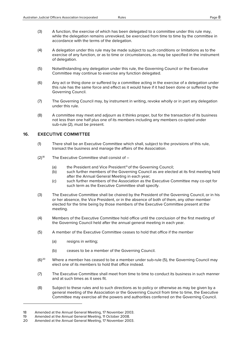- (3) A function, the exercise of which has been delegated to a committee under this rule may, while the delegation remains unrevoked, be exercised from time to time by the committee in accordance with the terms of the delegation.
- (4) A delegation under this rule may be made subject to such conditions or limitations as to the exercise of any function, or as to time or circumstances, as may be specified in the instrument of delegation.
- (5) Notwithstanding any delegation under this rule, the Governing Council or the Executive Committee may continue to exercise any function delegated.
- (6) Any act or thing done or suffered by a committee acting in the exercise of a delegation under this rule has the same force and effect as it would have if it had been done or suffered by the Governing Council.
- (7) The Governing Council may, by instrument in writing, revoke wholly or in part any delegation under this rule.
- (8) A committee may meet and adjourn as it thinks proper, but for the transaction of its business not less than one half plus one of its members including any members co-opted under sub-rule (2), must be present.

#### <span id="page-9-0"></span>**16. EXECUTIVE COMMITTEE**

- (1) There shall be an Executive Committee which shall, subject to the provisions of this rule, transact the business and manage the affairs of the Association.
- $(2)^{18}$  $(2)^{18}$  $(2)^{18}$  The Executive Committee shall consist of  $-$ 
	- (a) the President and Vice President<sup>[19](#page-9-2)</sup> of the Governing Council;
	- (b) such further members of the Governing Council as are elected at its first meeting held after the Annual General Meeting in each year;
	- (c) such further members of the Association as the Executive Committee may co-opt for such term as the Executive Committee shall specify.
- (3) The Executive Committee shall be chaired by the President of the Governing Council, or in his or her absence, the Vice President, or in the absence of both of them, any other member elected for the time being by those members of the Executive Committee present at the meeting.
- (4) Members of the Executive Committee hold office until the conclusion of the first meeting of the Governing Council held after the annual general meeting in each year.
- (5) A member of the Executive Committee ceases to hold that office if the member
	- (a) resigns in writing;
	- (b) ceases to be a member of the Governing Council.
- $(6)^{20}$  $(6)^{20}$  $(6)^{20}$  Where a member has ceased to be a member under sub-rule (5), the Governing Council may elect one of its members to hold that office instead.
- (7) The Executive Committee shall meet from time to time to conduct its business in such manner and at such times as it sees fit.
- (8) Subject to these rules and to such directions as to policy or otherwise as may be given by a general meeting of the Association or the Governing Council from time to time, the Executive Committee may exercise all the powers and authorities conferred on the Governing Council.

<span id="page-9-1"></span><sup>18</sup> Amended at the Annual General Meeting, 17 November 2003.

<span id="page-9-3"></span><span id="page-9-2"></span><sup>19</sup> Amended at the Annual General Meeting, 11 October 2008.<br>20 Amended at the Annual General Meeting. 17 November 200

<sup>20</sup> Amended at the Annual General Meeting, 17 November 2003.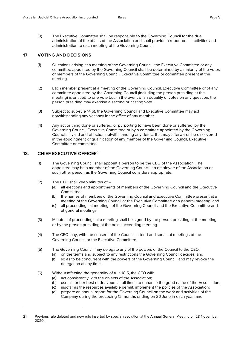- 
- (9) The Executive Committee shall be responsible to the Governing Council for the due administration of the affairs of the Association and shall provide a report on its activities and administration to each meeting of the Governing Council.

#### <span id="page-10-0"></span>**17. VOTING AND DECISIONS**

- (1) Questions arising at a meeting of the Governing Council, the Executive Committee or any committee appointed by the Governing Council shall be determined by a majority of the votes of members of the Governing Council, Executive Committee or committee present at the meeting.
- (2) Each member present at a meeting of the Governing Council, Executive Committee or of any committee appointed by the Governing Council (including the person presiding at the meeting) is entitled to one vote but, in the event of an equality of votes on any question, the person presiding may exercise a second or casting vote.
- (3) Subject to sub-rule 14(6), the Governing Council and Executive Committee may act notwithstanding any vacancy in the office of any member.
- (4) Any act or thing done or suffered, or purporting to have been done or suffered, by the Governing Council, Executive Committee or by a committee appointed by the Governing Council, is valid and effectual notwithstanding any defect that may afterwards be discovered in the appointment or qualification of any member of the Governing Council, Executive Committee or committee.

#### <span id="page-10-1"></span>**18. CHIEF EXECUTIVE OFFICER[21](#page-10-2)**

- (1) The Governing Council shall appoint a person to be the CEO of the Association. The appointee may be a member of the Governing Council, an employee of the Association or such other person as the Governing Council considers appropriate.
- (2) The CEO shall keep minutes of
	- (a) all elections and appointments of members of the Governing Council and the Executive Committee;
	- (b) the names of members of the Governing Council and Executive Committee present at a meeting of the Governing Council or the Executive Committee or a general meeting; and
	- (c) all proceedings at meetings of the Governing Council and the Executive Committee and at general meetings.
- (3) Minutes of proceedings at a meeting shall be signed by the person presiding at the meeting or by the person presiding at the next succeeding meeting.
- (4) The CEO may, with the consent of the Council, attend and speak at meetings of the Governing Council or the Executive Committee.
- (5) The Governing Council may delegate any of the powers of the Council to the CEO:
	- (a) on the terms and subject to any restrictions the Governing Council decides; and
		- (b) so as to be concurrent with the powers of the Governing Council, and may revoke the delegation at any time.
- (6) Without affecting the generality of rule 18.5, the CEO will:
	- (a) act consistently with the objects of the Association;
	- (b) use his or her best endeavours at all times to enhance the good name of the Association;
	- (c) insofar as the resources available permit, implement the policies of the Association;
	- (d) prepare an annual report for the Governing Council on the work and activities of the Company during the preceding 12 months ending on 30 June in each year; and

<span id="page-10-2"></span><sup>21</sup> Previous rule deleted and new rule inserted by special resolution at the Annual General Meeting on 28 November 2020.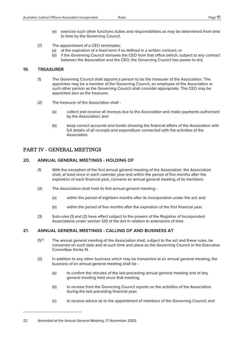- (e) exercise such other functions duties and responsibilities as may be determined from time to time by the Governing Council.
- (7) The appointment of a CEO terminates:
	- (a) at the expiration of a fixed term if so defined in a written contract; or
	- (b) if the Governing Council removes the CEO from that office (which, subject to any contract between the Association and the CEO, the Governing Council has power to do).

#### <span id="page-11-0"></span>**19. TREASURER**

- (1) The Governing Council shall appoint a person to be the treasurer of the Association. The appointee may be a member of the Governing Council, an employee of the Association or such other person as the Governing Council shall consider appropriate. The CEO may be appointed also as the treasurer.
- (2) The treasurer of the Association shall
	- (a) collect and receive all moneys due to the Association and make payments authorised by the Association; and
	- (b) keep correct accounts and books showing the financial affairs of the Association with full details of all receipts and expenditure connected with the activities of the Association.

#### <span id="page-11-1"></span>PART IV - GENERAL MEETINGS

#### <span id="page-11-2"></span>**20. ANNUAL GENERAL MEETINGS - HOLDING OF**

- (1) With the exception of the first annual general meeting of the Association, the Association shall, at least once in each calendar year and within the period of five months after the expiration of each financial year, convene an annual general meeting of its members.
- (2) The Association shall hold its first annual general meeting
	- (a) within the period of eighteen months after its incorporation under the act; and
	- (b) within the period of five months after the expiration of the first financial year.
- (3) Sub-rules (1) and (2) have effect subject to the powers of the Registrar of Incorporated Associations under section 120 of the Act in relation to extensions of time.

#### <span id="page-11-3"></span>**21. ANNUAL GENERAL MEETINGS - CALLING OF AND BUSINESS AT**

- $(1)^{22}$  $(1)^{22}$  $(1)^{22}$  The annual general meeting of the Association shall, subject to the act and these rules, be convened on such date and at such time and place as the Governing Council or the Executive Committee thinks fit.
- (2) In addition to any other business which may be transacted at an annual general meeting, the business of an annual general meeting shall be -
	- (a) to confirm the minutes of the last preceding annual general meeting and of any general meeting held since that meeting;
	- (b) to receive from the Governing Council reports on the activities of the Association during the last preceding financial year;
	- (c) to receive advice as to the appointment of members of the Governing Council; and

<span id="page-11-4"></span><sup>22</sup> Amended at the Annual General Meeting, 17 November 2003.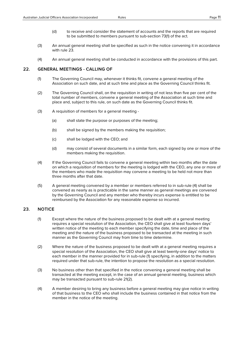- (d) to receive and consider the statement of accounts and the reports that are required to be submitted to members pursuant to sub-section 73(1) of the act.
- (3) An annual general meeting shall be specified as such in the notice convening it in accordance with rule 23.
- (4) An annual general meeting shall be conducted in accordance with the provisions of this part.

#### <span id="page-12-0"></span>**22. GENERAL MEETINGS - CALLING OF**

- (1) The Governing Council may, whenever it thinks fit, convene a general meeting of the Association on such date, and at such time and place as the Governing Council thinks fit.
- (2) The Governing Council shall, on the requisition in writing of not less than five per cent of the total number of members, convene a general meeting of the Association at such time and place and, subject to this rule, on such date as the Governing Council thinks fit.
- (3) A requisition of members for a general meeting
	- (a) shall state the purpose or purposes of the meeting;
	- (b) shall be signed by the members making the requisition;
	- (c) shall be lodged with the CEO; and
	- (d) may consist of several documents in a similar form, each signed by one or more of the members making the requisition.
- (4) If the Governing Council fails to convene a general meeting within two months after the date on which a requisition of members for the meeting is lodged with the CEO, any one or more of the members who made the requisition may convene a meeting to be held not more than three months after that date.
- (5) A general meeting convened by a member or members referred to in sub-rule (4) shall be convened as nearly as is practicable in the same manner as general meetings are convened by the Governing Council and any member who thereby incurs expense is entitled to be reimbursed by the Association for any reasonable expense so incurred.

#### <span id="page-12-1"></span>**23. NOTICE**

- (1) Except where the nature of the business proposed to be dealt with at a general meeting requires a special resolution of the Association, the CEO shall give at least fourteen days' written notice of the meeting to each member specifying the date, time and place of the meeting and the nature of the business proposed to be transacted at the meeting in such manner as the Governing Council may from time to time determine.
- (2) Where the nature of the business proposed to be dealt with at a general meeting requires a special resolution of the Association, the CEO shall give at least twenty-one days' notice to each member in the manner provided for in sub-rule (1) specifying, in addition to the matters required under that sub-rule, the intention to propose the resolution as a special resolution.
- (3) No business other than that specified in the notice convening a general meeting shall be transacted at the meeting except, in the case of an annual general meeting, business which may be transacted pursuant to sub-rule 21(2).
- (4) A member desiring to bring any business before a general meeting may give notice in writing of that business to the CEO who shall include the business contained in that notice from the member in the notice of the meeting.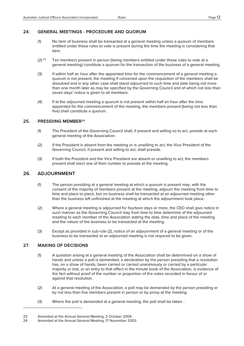#### <span id="page-13-0"></span>**24. GENERAL MEETINGS - PROCEDURE AND QUORUM**

- (1) No item of business shall be transacted at a general meeting unless a quorum of members entitled under these rules to vote is present during the time the meeting is considering that item.
- $(2)^{23}$  $(2)^{23}$  $(2)^{23}$  Ten members present in person (being members entitled under these rules to vote at a general meeting) constitute a quorum for the transaction of the business of a general meeting.
- (3) If within half an hour after the appointed time for the commencement of a general meeting a quorum is not present, the meeting if convened upon the requisition of the members shall be dissolved and in any other case shall stand adjourned to such time and date being not more than one month later as may be specified by the Governing Council and of which not less than seven days' notice is given to all members.
- (4) If at the adjourned meeting a quorum is not present within half an hour after the time appointed for the commencement of the meeting, the members present (being not less than five) shall constitute a quorum.

#### <span id="page-13-1"></span>**25. PRESIDING MEMBER[24](#page-13-4)**

- (1) The President of the Governing Council shall, if present and willing so to act, preside at each general meeting of the Association.
- (2) If the President is absent from the meeting or is unwilling to act, the Vice President of the Governing Council, if present and willing to act, shall preside.
- (3) If both the President and the Vice President are absent or unwilling to act, the members present shall elect one of their number to preside at the meeting.

#### **26. ADJOURNMENT**

- (1) The person presiding at a general meeting at which a quorum is present may, with the consent of the majority of members present at the meeting, adjourn the meeting from time to time and place to place, but no business shall be transacted at an adjourned meeting other than the business left unfinished at the meeting at which the adjournment took place.
- (2) Where a general meeting is adjourned for fourteen days or more, the CEO shall give notice in such manner as the Governing Council may from time to time determine of the adjourned meeting to each member of the Association stating the date, time and place of the meeting and the nature of the business to be transacted at the meeting.
- (3) Except as provided in sub-rule (2), notice of an adjournment of a general meeting or of the business to be transacted at an adjourned meeting is not required to be given.

#### <span id="page-13-2"></span>**27. MAKING OF DECISIONS**

- (1) A question arising at a general meeting of the Association shall be determined on a show of hands and unless a poll is demanded, a declaration by the person presiding that a resolution has, on a show of hands, been carried or carried unanimously or carried by a particular majority or lost, or an entry to that effect in the minute book of the Association, is evidence of the fact without proof of the number or proportion of the votes recorded in favour of or against that resolution.
- (2) At a general meeting of the Association, a poll may be demanded by the person presiding or by not less than five members present in person or by proxy at the meeting.
- (3) Where the poll is demanded at a general meeting, the poll shall be taken -

<span id="page-13-4"></span><span id="page-13-3"></span><sup>23</sup> Amended at the Annual General Meeting, 2 October 2004.<br>24 Amended at the Annual General Meeting. 17 November 200

Amended at the Annual General Meeting, 17 November 2003.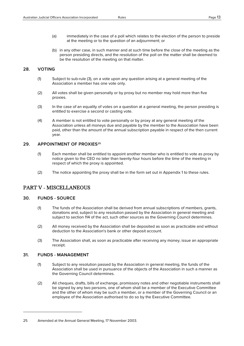- (a) immediately in the case of a poll which relates to the election of the person to preside at the meeting or to the question of an adjournment; or
- (b) in any other case, in such manner and at such time before the close of the meeting as the person presiding directs, and the resolution of the poll on the matter shall be deemed to be the resolution of the meeting on that matter.

#### <span id="page-14-0"></span>**28. VOTING**

- (1) Subject to sub-rule (3), on a vote upon any question arising at a general meeting of the Association a member has one vote only.
- (2) All votes shall be given personally or by proxy but no member may hold more than five proxies.
- (3) In the case of an equality of votes on a question at a general meeting, the person presiding is entitled to exercise a second or casting vote.
- (4) A member is not entitled to vote personally or by proxy at any general meeting of the Association unless all moneys due and payable by the member to the Association have been paid, other than the amount of the annual subscription payable in respect of the then current year.

#### <span id="page-14-1"></span>**29. APPOINTMENT OF PROXIES[25](#page-14-5)**

- (1) Each member shall be entitled to appoint another member who is entitled to vote as proxy by notice given to the CEO no later than twenty-four hours before the time of the meeting in respect of which the proxy is appointed.
- (2) The notice appointing the proxy shall be in the form set out in Appendix 1 to these rules.

#### <span id="page-14-2"></span>PART V - MISCELLANEOUS

#### <span id="page-14-3"></span>**30. FUNDS - SOURCE**

- (1) The funds of the Association shall be derived from annual subscriptions of members, grants, donations and, subject to any resolution passed by the Association in general meeting and subject to section 114 of the act, such other sources as the Governing Council determines.
- (2) All money received by the Association shall be deposited as soon as practicable and without deduction to the Association's bank or other deposit account.
- (3) The Association shall, as soon as practicable after receiving any money, issue an appropriate receipt.

#### <span id="page-14-4"></span>**31. FUNDS - MANAGEMENT**

- (1) Subject to any resolution passed by the Association in general meeting, the funds of the Association shall be used in pursuance of the objects of the Association in such a manner as the Governing Council determines.
- (2) All cheques, drafts, bills of exchange, promissory notes and other negotiable instruments shall be signed by any two persons, one of whom shall be a member of the Executive Committee and the other of whom may be such a member, or a member of the Governing Council or an employee of the Association authorised to do so by the Executive Committee.

<span id="page-14-5"></span><sup>25</sup> Amended at the Annual General Meeting, 17 November 2003.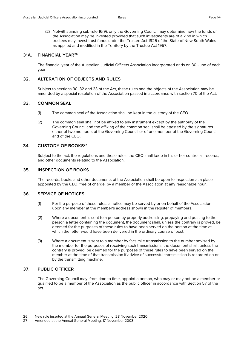(2) Notwithstanding sub-rule 16(9), only the Governing Council may determine how the funds of the Association may be invested provided that such investments are of a kind in which trustees may invest trust funds under the Trustee Act 1925 of the State of New South Wales as applied and modified in the Territory by the Trustee Act 1957.

#### <span id="page-15-0"></span>**31A. FINANCIAL YEAR[26](#page-15-7)**

The financial year of the Australian Judicial Officers Association Incorporated ends on 30 June of each year.

#### <span id="page-15-1"></span>**32. ALTERATION OF OBJECTS AND RULES**

Subject to sections 30, 32 and 33 of the Act, these rules and the objects of the Association may be amended by a special resolution of the Association passed in accordance with section 70 of the Act.

#### <span id="page-15-2"></span>**33. COMMON SEAL**

- (1) The common seal of the Association shall be kept in the custody of the CEO.
- (2) The common seal shall not be affixed to any instrument except by the authority of the Governing Council and the affixing of the common seal shall be attested by the signatures either of two members of the Governing Council or of one member of the Governing Council and of the CEO.

#### <span id="page-15-3"></span>**34. CUSTODY OF BOOKS[27](#page-15-8)**

Subject to the act, the regulations and these rules, the CEO shall keep in his or her control all records, and other documents relating to the Association.

#### <span id="page-15-4"></span>**35. INSPECTION OF BOOKS**

The records, books and other documents of the Association shall be open to inspection at a place appointed by the CEO, free of charge, by a member of the Association at any reasonable hour.

#### <span id="page-15-5"></span>**36. SERVICE OF NOTICES**

- (1) For the purpose of these rules, a notice may be served by or on behalf of the Association upon any member at the member's address shown in the register of members.
- (2) Where a document is sent to a person by properly addressing, prepaying and posting to the person a letter containing the document, the document shall, unless the contrary is proved, be deemed for the purposes of these rules to have been served on the person at the time at which the letter would have been delivered in the ordinary course of post.
- (3) Where a document is sent to a member by facsimile transmission to the number advised by the member for the purposes of receiving such transmissions, the document shall, unless the contrary is proved, be deemed for the purposes of these rules to have been served on the member at the time of that transmission if advice of successful transmission is recorded on or by the transmitting machine.

#### <span id="page-15-6"></span>**37. PUBLIC OFFICER**

The Governing Council may, from time to time, appoint a person, who may or may not be a member or qualified to be a member of the Association as the public officer in accordance with Section 57 of the act.

<span id="page-15-8"></span><span id="page-15-7"></span><sup>26</sup> New rule inserted at the Annual General Meeting, 28 November 2020.<br>27 Amended at the Annual General Meeting, 17 November 2003.

Amended at the Annual General Meeting, 17 November 2003.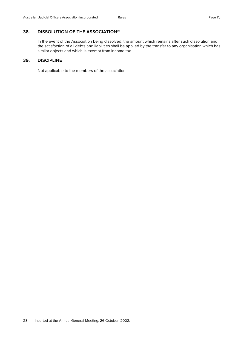#### <span id="page-16-0"></span>**38. DISSOLUTION OF THE ASSOCIATION[28](#page-16-2)**

In the event of the Association being dissolved, the amount which remains after such dissolution and the satisfaction of all debts and liabilities shall be applied by the transfer to any organisation which has similar objects and which is exempt from income tax.

#### <span id="page-16-1"></span>**39. DISCIPLINE**

Not applicable to the members of the association.

<span id="page-16-2"></span><sup>28</sup> Inserted at the Annual General Meeting, 26 October, 2002.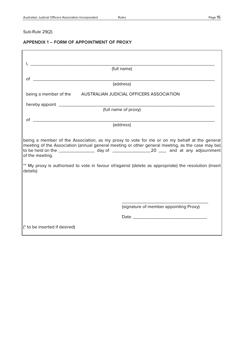#### Sub-Rule 29(2)

#### <span id="page-17-0"></span>**APPENDIX 1 – FORM OF APPOINTMENT OF PROXY**

| $\mathbf{I}_{\mathbf{S}}$                                                                                                                                                                                           |
|---------------------------------------------------------------------------------------------------------------------------------------------------------------------------------------------------------------------|
| (full name)                                                                                                                                                                                                         |
|                                                                                                                                                                                                                     |
| (address)                                                                                                                                                                                                           |
| being a member of the AUSTRALIAN JUDICIAL OFFICERS ASSOCIATION                                                                                                                                                      |
|                                                                                                                                                                                                                     |
| (full name of proxy)                                                                                                                                                                                                |
|                                                                                                                                                                                                                     |
| (address)                                                                                                                                                                                                           |
|                                                                                                                                                                                                                     |
| being a member of the Association, as my proxy to vote for me or on my behalf at the general<br>meeting of the Association (annual general meeting or other general meeting, as the case may be)<br>of the meeting. |
| ** My proxy is authorised to vote in favour of/against (delete as appropriate) the resolution (insert<br>details)                                                                                                   |
|                                                                                                                                                                                                                     |
|                                                                                                                                                                                                                     |
|                                                                                                                                                                                                                     |
|                                                                                                                                                                                                                     |
| (signature of member appointing Proxy)                                                                                                                                                                              |
|                                                                                                                                                                                                                     |
| (* to be inserted if desired)                                                                                                                                                                                       |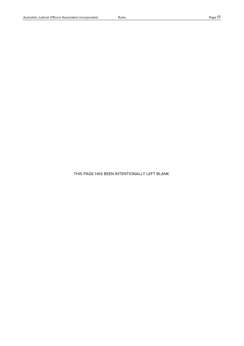THIS PAGE HAS BEEN INTENTIONALLY LEFT BLANK.